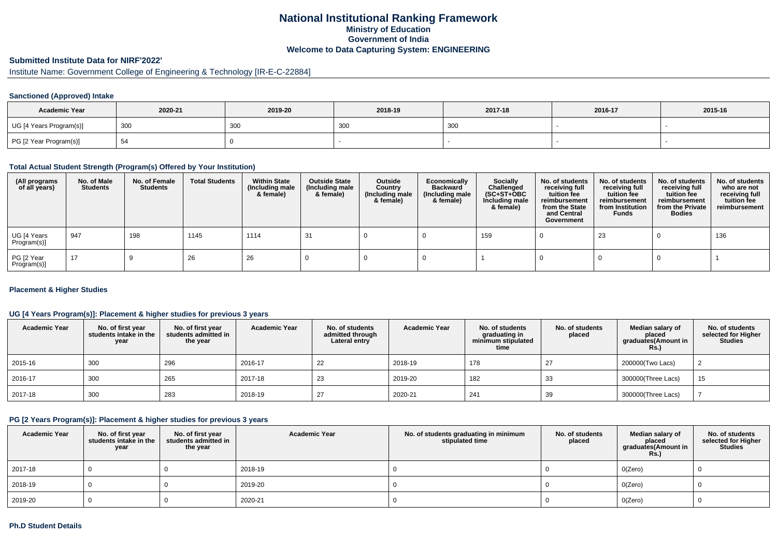# **National Institutional Ranking FrameworkMinistry of Education Government of IndiaWelcome to Data Capturing System: ENGINEERING**

#### **Submitted Institute Data for NIRF'2022'**

# Institute Name: Government College of Engineering & Technology [IR-E-C-22884]

### **Sanctioned (Approved) Intake**

| <b>Academic Year</b>    | 2020-21 | 2019-20 | 2018-19   | 2017-18     | 2016-17 | 2015-16 |
|-------------------------|---------|---------|-----------|-------------|---------|---------|
| UG [4 Years Program(s)] | 300     | 300     | 201<br>יש | 3UU<br>ູບບບ |         |         |
| PG [2 Year Program(s)]  |         |         |           |             |         |         |

#### **Total Actual Student Strength (Program(s) Offered by Your Institution)**

| (All programs<br>of all years) | No. of Male<br><b>Students</b> | No. of Female<br>Students | <b>Total Students</b> | <b>Within State</b><br>(Including male<br>& female) | <b>Outside State</b><br>(Including male<br>& female) | Outside<br>Country<br>(Including male<br>& female) | Economically<br><b>Backward</b><br>(Including male<br>& female) | <b>Socially</b><br>Challenged<br>$(SC+ST+OBC)$<br>Including male<br>& female) | No. of students<br>receiving full<br>tuition fee<br>reimbursement<br>from the State<br>and Central<br>Government | No. of students<br>receiving full<br>tuition fee<br>reimbursement<br>from Institution<br><b>Funds</b> | No. of students<br>receiving full<br>tuition fee<br>reimbursement<br>from the Private<br><b>Bodies</b> | No. of students<br>who are not<br>receiving full<br>tuition fee<br>reimbursement |
|--------------------------------|--------------------------------|---------------------------|-----------------------|-----------------------------------------------------|------------------------------------------------------|----------------------------------------------------|-----------------------------------------------------------------|-------------------------------------------------------------------------------|------------------------------------------------------------------------------------------------------------------|-------------------------------------------------------------------------------------------------------|--------------------------------------------------------------------------------------------------------|----------------------------------------------------------------------------------|
| UG [4 Years<br>Program(s)]     | 947                            | 198                       | 1145                  | 1114                                                | -31                                                  |                                                    |                                                                 | 159                                                                           |                                                                                                                  | 23                                                                                                    |                                                                                                        | 136                                                                              |
| PG [2 Year<br>Program(s)]      | 17                             |                           | 26                    | 26                                                  |                                                      |                                                    |                                                                 |                                                                               |                                                                                                                  |                                                                                                       |                                                                                                        |                                                                                  |

#### **Placement & Higher Studies**

### **UG [4 Years Program(s)]: Placement & higher studies for previous 3 years**

| <b>Academic Year</b> | No. of first year<br>students intake in the<br>year | No. of first year<br>students admitted in<br>the year | <b>Academic Year</b> | No. of students<br>admitted through<br>Lateral entry | <b>Academic Year</b> | No. of students<br>graduating in<br>minimum stipulated<br>time | No. of students<br>placed | Median salary of<br>placed<br>graduates(Amount in<br><b>Rs.)</b> | No. of students<br>selected for Higher<br><b>Studies</b> |
|----------------------|-----------------------------------------------------|-------------------------------------------------------|----------------------|------------------------------------------------------|----------------------|----------------------------------------------------------------|---------------------------|------------------------------------------------------------------|----------------------------------------------------------|
| 2015-16              | 300                                                 | 296                                                   | 2016-17              | 22                                                   | 2018-19              | 178                                                            | 27                        | 200000(Two Lacs)                                                 |                                                          |
| 2016-17              | 300                                                 | 265                                                   | 2017-18              | 23                                                   | 2019-20              | 182                                                            | 33                        | 300000(Three Lacs)                                               | 15                                                       |
| 2017-18              | 300                                                 | 283                                                   | 2018-19              | 27                                                   | 2020-21              | 241                                                            | 39                        | 300000(Three Lacs)                                               |                                                          |

### **PG [2 Years Program(s)]: Placement & higher studies for previous 3 years**

| <b>Academic Year</b> | No. of first year<br>students intake in the<br>year | No. of first vear<br>students admitted in<br>the year | <b>Academic Year</b> | No. of students graduating in minimum<br>stipulated time | No. of students<br>placed | Median salary of<br>placed<br>graduates(Amount in<br><b>Rs.)</b> | No. of students<br>selected for Higher<br><b>Studies</b> |
|----------------------|-----------------------------------------------------|-------------------------------------------------------|----------------------|----------------------------------------------------------|---------------------------|------------------------------------------------------------------|----------------------------------------------------------|
| 2017-18              |                                                     |                                                       | 2018-19              |                                                          |                           | O(Zero)                                                          |                                                          |
| 2018-19              |                                                     |                                                       | 2019-20              |                                                          |                           | O(Zero)                                                          |                                                          |
| 2019-20              |                                                     |                                                       | 2020-21              |                                                          |                           | O(Zero)                                                          |                                                          |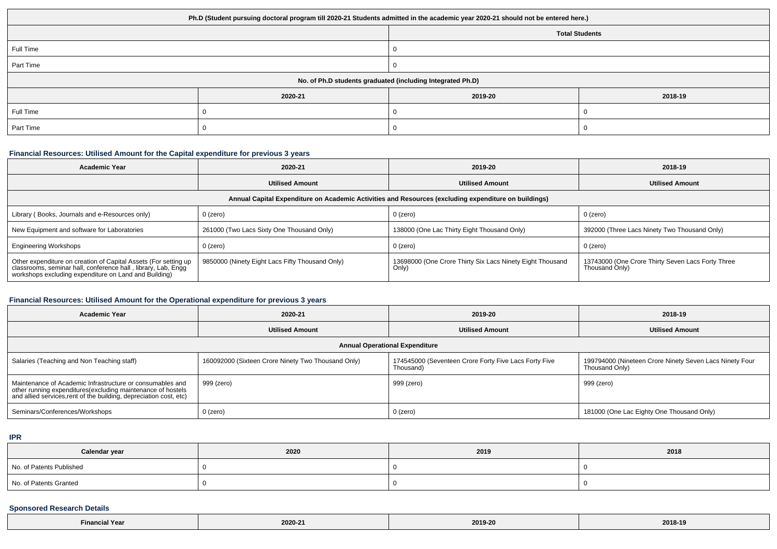| Ph.D (Student pursuing doctoral program till 2020-21 Students admitted in the academic year 2020-21 should not be entered here.) |         |                       |         |  |  |
|----------------------------------------------------------------------------------------------------------------------------------|---------|-----------------------|---------|--|--|
|                                                                                                                                  |         | <b>Total Students</b> |         |  |  |
| Full Time                                                                                                                        |         |                       |         |  |  |
| Part Time                                                                                                                        |         |                       |         |  |  |
| No. of Ph.D students graduated (including Integrated Ph.D)                                                                       |         |                       |         |  |  |
|                                                                                                                                  | 2020-21 | 2019-20               | 2018-19 |  |  |
| Full Time                                                                                                                        |         |                       |         |  |  |
| Part Time                                                                                                                        |         |                       |         |  |  |

# **Financial Resources: Utilised Amount for the Capital expenditure for previous 3 years**

| <b>Academic Year</b>                                                                                                                                                                      | 2020-21                                         | 2019-20                                                            | 2018-19                                                             |  |  |  |
|-------------------------------------------------------------------------------------------------------------------------------------------------------------------------------------------|-------------------------------------------------|--------------------------------------------------------------------|---------------------------------------------------------------------|--|--|--|
|                                                                                                                                                                                           | <b>Utilised Amount</b>                          | <b>Utilised Amount</b>                                             | <b>Utilised Amount</b>                                              |  |  |  |
| Annual Capital Expenditure on Academic Activities and Resources (excluding expenditure on buildings)                                                                                      |                                                 |                                                                    |                                                                     |  |  |  |
| Library (Books, Journals and e-Resources only)                                                                                                                                            | $0$ (zero)                                      | 0 (zero)                                                           | 0 (zero)                                                            |  |  |  |
| New Equipment and software for Laboratories                                                                                                                                               | 261000 (Two Lacs Sixty One Thousand Only)       | 138000 (One Lac Thirty Eight Thousand Only)                        | 392000 (Three Lacs Ninety Two Thousand Only)                        |  |  |  |
| <b>Engineering Workshops</b>                                                                                                                                                              | $0$ (zero)                                      | 0 (zero)                                                           | 0 (zero)                                                            |  |  |  |
| Other expenditure on creation of Capital Assets (For setting up<br>classrooms, seminar hall, conference hall, library, Lab, Engg<br>workshops excluding expenditure on Land and Building) | 9850000 (Ninety Eight Lacs Fifty Thousand Only) | 13698000 (One Crore Thirty Six Lacs Ninety Eight Thousand<br>Only) | 13743000 (One Crore Thirty Seven Lacs Forty Three<br>Thousand Only) |  |  |  |

# **Financial Resources: Utilised Amount for the Operational expenditure for previous 3 years**

| <b>Academic Year</b>                                                                                                                                                                           | 2020-21                                            | 2019-20                                                            | 2018-19                                                                   |  |  |  |
|------------------------------------------------------------------------------------------------------------------------------------------------------------------------------------------------|----------------------------------------------------|--------------------------------------------------------------------|---------------------------------------------------------------------------|--|--|--|
|                                                                                                                                                                                                | <b>Utilised Amount</b>                             | <b>Utilised Amount</b>                                             | <b>Utilised Amount</b>                                                    |  |  |  |
| <b>Annual Operational Expenditure</b>                                                                                                                                                          |                                                    |                                                                    |                                                                           |  |  |  |
| Salaries (Teaching and Non Teaching staff)                                                                                                                                                     | 160092000 (Sixteen Crore Ninety Two Thousand Only) | 174545000 (Seventeen Crore Forty Five Lacs Forty Five<br>Thousand) | 199794000 (Nineteen Crore Ninety Seven Lacs Ninety Four<br>Thousand Only) |  |  |  |
| Maintenance of Academic Infrastructure or consumables and<br>other running expenditures(excluding maintenance of hostels<br>and allied services, rent of the building, depreciation cost, etc) | 999 (zero)                                         | 999 (zero)                                                         | 999 (zero)                                                                |  |  |  |
| Seminars/Conferences/Workshops                                                                                                                                                                 | $0$ (zero)                                         | 0 (zero)                                                           | 181000 (One Lac Eighty One Thousand Only)                                 |  |  |  |

**IPR**

| Calendar year            | 2020 | 2019 | 2018 |
|--------------------------|------|------|------|
| No. of Patents Published |      |      |      |
| No. of Patents Granted   |      |      |      |

### **Sponsored Research Details**

| vo-<br>. | 2020-2<br>the contract of the contract of the | 2019-20<br>. | 2018-19<br>$\sim$ $\sim$ $\sim$ $\sim$ |
|----------|-----------------------------------------------|--------------|----------------------------------------|
|----------|-----------------------------------------------|--------------|----------------------------------------|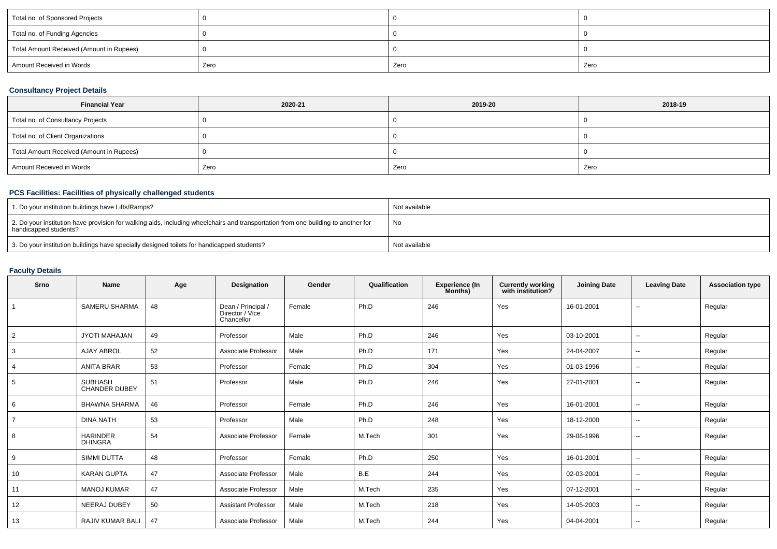| Total no. of Sponsored Projects          |      |      |      |
|------------------------------------------|------|------|------|
| Total no. of Funding Agencies            |      |      |      |
| Total Amount Received (Amount in Rupees) |      |      |      |
| Amount Received in Words                 | Zero | Zero | Zero |

# **Consultancy Project Details**

| <b>Financial Year</b>                    | 2020-21 | 2019-20 | 2018-19 |
|------------------------------------------|---------|---------|---------|
| Total no. of Consultancy Projects        |         |         |         |
| Total no. of Client Organizations        |         |         |         |
| Total Amount Received (Amount in Rupees) |         |         |         |
| Amount Received in Words                 | Zero    | Zero    | Zero    |

# **PCS Facilities: Facilities of physically challenged students**

| 1. Do your institution buildings have Lifts/Ramps?                                                                                                         | Not available |
|------------------------------------------------------------------------------------------------------------------------------------------------------------|---------------|
| 2. Do your institution have provision for walking aids, including wheelchairs and transportation from one building to another for<br>handicapped students? | No            |
| 3. Do your institution buildings have specially designed toilets for handicapped students?                                                                 | Not available |

# **Faculty Details**

| Srno | <b>Name</b>                            | Age | Designation                                         | Gender | Qualification | Experience (In<br>Months) | <b>Currently working</b><br>with institution? | <b>Joining Date</b> | <b>Leaving Date</b> | <b>Association type</b> |
|------|----------------------------------------|-----|-----------------------------------------------------|--------|---------------|---------------------------|-----------------------------------------------|---------------------|---------------------|-------------------------|
|      | SAMERU SHARMA                          | 48  | Dean / Principal /<br>Director / Vice<br>Chancellor | Female | Ph.D          | 246                       | Yes                                           | 16-01-2001          | $\sim$              | Regular                 |
| 2    | JYOTI MAHAJAN                          | 49  | Professor                                           | Male   | Ph.D          | 246                       | Yes                                           | 03-10-2001          | --                  | Regular                 |
| 3    | <b>AJAY ABROL</b>                      | 52  | Associate Professor                                 | Male   | Ph.D          | 171                       | Yes                                           | 24-04-2007          | --                  | Regular                 |
|      | <b>ANITA BRAR</b>                      | 53  | Professor                                           | Female | Ph.D          | 304                       | Yes                                           | 01-03-1996          | $\sim$              | Regular                 |
| 5    | <b>SUBHASH</b><br><b>CHANDER DUBEY</b> | 51  | Professor                                           | Male   | Ph.D          | 246                       | Yes                                           | 27-01-2001          | $\sim$              | Regular                 |
| 6    | <b>BHAWNA SHARMA</b>                   | 46  | Professor                                           | Female | Ph.D          | 246                       | Yes                                           | 16-01-2001          | $\sim$              | Regular                 |
|      | <b>DINA NATH</b>                       | 53  | Professor                                           | Male   | Ph.D          | 248                       | Yes                                           | 18-12-2000          | $\sim$              | Regular                 |
| 8    | <b>HARINDER</b><br><b>DHINGRA</b>      | 54  | Associate Professor                                 | Female | M.Tech        | 301                       | Yes                                           | 29-06-1996          | $\sim$              | Regular                 |
| 9    | <b>SIMMI DUTTA</b>                     | 48  | Professor                                           | Female | Ph.D          | 250                       | Yes                                           | 16-01-2001          | $\sim$              | Regular                 |
| 10   | <b>KARAN GUPTA</b>                     | 47  | Associate Professor                                 | Male   | B.E           | 244                       | Yes                                           | 02-03-2001          | $\sim$              | Regular                 |
| 11   | <b>MANOJ KUMAR</b>                     | 47  | Associate Professor                                 | Male   | M.Tech        | 235                       | Yes                                           | 07-12-2001          | $\sim$              | Regular                 |
| 12   | NEERAJ DUBEY                           | 50  | <b>Assistant Professor</b>                          | Male   | M.Tech        | 218                       | Yes                                           | 14-05-2003          | $\sim$              | Regular                 |
| 13   | RAJIV KUMAR BALI                       | 47  | Associate Professor                                 | Male   | M.Tech        | 244                       | Yes                                           | 04-04-2001          | $\sim$              | Regular                 |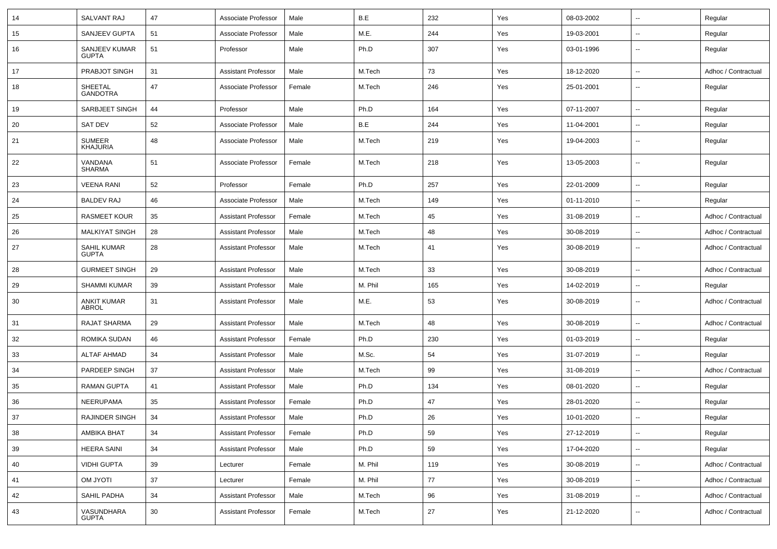| 14 | <b>SALVANT RAJ</b>                | 47 | Associate Professor        | Male   | B.E     | 232 | Yes | 08-03-2002 | $\overline{\phantom{a}}$ | Regular             |
|----|-----------------------------------|----|----------------------------|--------|---------|-----|-----|------------|--------------------------|---------------------|
| 15 | SANJEEV GUPTA                     | 51 | Associate Professor        | Male   | M.E.    | 244 | Yes | 19-03-2001 | $\overline{\phantom{a}}$ | Regular             |
| 16 | SANJEEV KUMAR<br><b>GUPTA</b>     | 51 | Professor                  | Male   | Ph.D    | 307 | Yes | 03-01-1996 | $\overline{\phantom{a}}$ | Regular             |
| 17 | PRABJOT SINGH                     | 31 | <b>Assistant Professor</b> | Male   | M.Tech  | 73  | Yes | 18-12-2020 | $\mathbf{u}$             | Adhoc / Contractual |
| 18 | <b>SHEETAL</b><br><b>GANDOTRA</b> | 47 | Associate Professor        | Female | M.Tech  | 246 | Yes | 25-01-2001 | $\overline{\phantom{a}}$ | Regular             |
| 19 | SARBJEET SINGH                    | 44 | Professor                  | Male   | Ph.D    | 164 | Yes | 07-11-2007 | $\overline{\phantom{a}}$ | Regular             |
| 20 | SAT DEV                           | 52 | Associate Professor        | Male   | B.E     | 244 | Yes | 11-04-2001 | $\overline{\phantom{a}}$ | Regular             |
| 21 | <b>SUMEER</b><br><b>KHAJURIA</b>  | 48 | Associate Professor        | Male   | M.Tech  | 219 | Yes | 19-04-2003 | $\mathbf{u}$             | Regular             |
| 22 | VANDANA<br><b>SHARMA</b>          | 51 | Associate Professor        | Female | M.Tech  | 218 | Yes | 13-05-2003 | $\mathbf{u}$             | Regular             |
| 23 | <b>VEENA RANI</b>                 | 52 | Professor                  | Female | Ph.D    | 257 | Yes | 22-01-2009 | $\sim$                   | Regular             |
| 24 | <b>BALDEV RAJ</b>                 | 46 | Associate Professor        | Male   | M.Tech  | 149 | Yes | 01-11-2010 | $\overline{\phantom{a}}$ | Regular             |
| 25 | <b>RASMEET KOUR</b>               | 35 | <b>Assistant Professor</b> | Female | M.Tech  | 45  | Yes | 31-08-2019 | $\overline{\phantom{a}}$ | Adhoc / Contractual |
| 26 | <b>MALKIYAT SINGH</b>             | 28 | <b>Assistant Professor</b> | Male   | M.Tech  | 48  | Yes | 30-08-2019 | $\overline{\phantom{a}}$ | Adhoc / Contractual |
| 27 | SAHIL KUMAR<br><b>GUPTA</b>       | 28 | <b>Assistant Professor</b> | Male   | M.Tech  | 41  | Yes | 30-08-2019 | $\overline{\phantom{a}}$ | Adhoc / Contractual |
| 28 | <b>GURMEET SINGH</b>              | 29 | <b>Assistant Professor</b> | Male   | M.Tech  | 33  | Yes | 30-08-2019 | $\overline{\phantom{a}}$ | Adhoc / Contractual |
| 29 | <b>SHAMMI KUMAR</b>               | 39 | <b>Assistant Professor</b> | Male   | M. Phil | 165 | Yes | 14-02-2019 | $\overline{\phantom{a}}$ | Regular             |
| 30 | <b>ANKIT KUMAR</b><br>ABROL       | 31 | <b>Assistant Professor</b> | Male   | M.E.    | 53  | Yes | 30-08-2019 | $\overline{\phantom{a}}$ | Adhoc / Contractual |
| 31 | RAJAT SHARMA                      | 29 | <b>Assistant Professor</b> | Male   | M.Tech  | 48  | Yes | 30-08-2019 | $\mathbf{u}$             | Adhoc / Contractual |
| 32 | ROMIKA SUDAN                      | 46 | <b>Assistant Professor</b> | Female | Ph.D    | 230 | Yes | 01-03-2019 | $\overline{\phantom{a}}$ | Regular             |
| 33 | <b>ALTAF AHMAD</b>                | 34 | <b>Assistant Professor</b> | Male   | M.Sc.   | 54  | Yes | 31-07-2019 | $\overline{\phantom{a}}$ | Regular             |
| 34 | PARDEEP SINGH                     | 37 | <b>Assistant Professor</b> | Male   | M.Tech  | 99  | Yes | 31-08-2019 | $\overline{\phantom{a}}$ | Adhoc / Contractual |
| 35 | <b>RAMAN GUPTA</b>                | 41 | <b>Assistant Professor</b> | Male   | Ph.D    | 134 | Yes | 08-01-2020 | $\overline{\phantom{a}}$ | Regular             |
| 36 | <b>NEERUPAMA</b>                  | 35 | <b>Assistant Professor</b> | Female | Ph.D    | 47  | Yes | 28-01-2020 | $\overline{\phantom{a}}$ | Regular             |
| 37 | RAJINDER SINGH                    | 34 | <b>Assistant Professor</b> | Male   | Ph.D    | 26  | Yes | 10-01-2020 | $\overline{\phantom{a}}$ | Regular             |
| 38 | AMBIKA BHAT                       | 34 | <b>Assistant Professor</b> | Female | Ph.D    | 59  | Yes | 27-12-2019 | ۰.                       | Regular             |
| 39 | <b>HEERA SAINI</b>                | 34 | <b>Assistant Professor</b> | Male   | Ph.D    | 59  | Yes | 17-04-2020 | $\overline{\phantom{a}}$ | Regular             |
| 40 | <b>VIDHI GUPTA</b>                | 39 | Lecturer                   | Female | M. Phil | 119 | Yes | 30-08-2019 | $\overline{\phantom{a}}$ | Adhoc / Contractual |
| 41 | <b>ITOYL MO</b>                   | 37 | Lecturer                   | Female | M. Phil | 77  | Yes | 30-08-2019 | $\overline{\phantom{a}}$ | Adhoc / Contractual |
| 42 | SAHIL PADHA                       | 34 | <b>Assistant Professor</b> | Male   | M.Tech  | 96  | Yes | 31-08-2019 | $\overline{\phantom{a}}$ | Adhoc / Contractual |
| 43 | VASUNDHARA<br><b>GUPTA</b>        | 30 | <b>Assistant Professor</b> | Female | M.Tech  | 27  | Yes | 21-12-2020 | ۰.                       | Adhoc / Contractual |